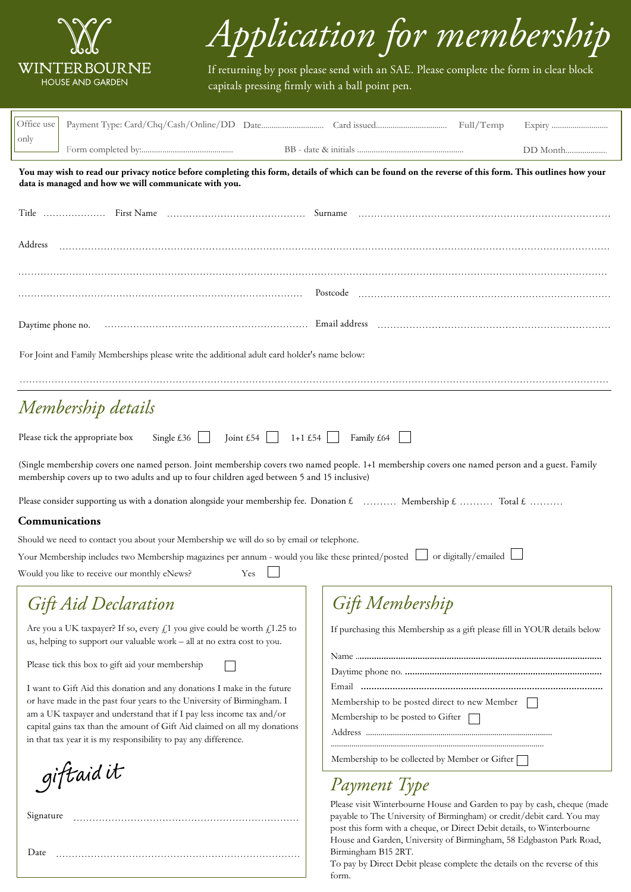

Date

## *Application for membership*

If returning by post please send with an SAE. Please complete the form in clear block capitals pressing firmly with a ball point pen.

| Office use                                                                                                                                                                                                                                      | Full/Temp                                                                                                                                                                                                                                                                                          |  |  |  |
|-------------------------------------------------------------------------------------------------------------------------------------------------------------------------------------------------------------------------------------------------|----------------------------------------------------------------------------------------------------------------------------------------------------------------------------------------------------------------------------------------------------------------------------------------------------|--|--|--|
| only                                                                                                                                                                                                                                            |                                                                                                                                                                                                                                                                                                    |  |  |  |
| You may wish to read our privacy notice before completing this form, details of which can be found on the reverse of this form. This outlines how your<br>data is managed and how we will communicate with you.                                 |                                                                                                                                                                                                                                                                                                    |  |  |  |
|                                                                                                                                                                                                                                                 |                                                                                                                                                                                                                                                                                                    |  |  |  |
| Address                                                                                                                                                                                                                                         |                                                                                                                                                                                                                                                                                                    |  |  |  |
|                                                                                                                                                                                                                                                 |                                                                                                                                                                                                                                                                                                    |  |  |  |
|                                                                                                                                                                                                                                                 |                                                                                                                                                                                                                                                                                                    |  |  |  |
|                                                                                                                                                                                                                                                 |                                                                                                                                                                                                                                                                                                    |  |  |  |
| For Joint and Family Memberships please write the additional adult card holder's name below:                                                                                                                                                    |                                                                                                                                                                                                                                                                                                    |  |  |  |
|                                                                                                                                                                                                                                                 |                                                                                                                                                                                                                                                                                                    |  |  |  |
| Membership details                                                                                                                                                                                                                              |                                                                                                                                                                                                                                                                                                    |  |  |  |
| Single $\pounds36$<br>Joint £54 $\Box$<br>$1+1$ £54    <br>Please tick the appropriate box<br>Family £64                                                                                                                                        |                                                                                                                                                                                                                                                                                                    |  |  |  |
| (Single membership covers one named person. Joint membership covers two named people. 1+1 membership covers one named person and a guest. Family<br>membership covers up to two adults and up to four children aged between 5 and 15 inclusive) |                                                                                                                                                                                                                                                                                                    |  |  |  |
| Please consider supporting us with a donation alongside your membership fee. Donation $\mathcal L$ Membership $\mathcal L$ Total $\mathcal L$                                                                                                   |                                                                                                                                                                                                                                                                                                    |  |  |  |
| Communications                                                                                                                                                                                                                                  |                                                                                                                                                                                                                                                                                                    |  |  |  |
| Should we need to contact you about your Membership we will do so by email or telephone.                                                                                                                                                        |                                                                                                                                                                                                                                                                                                    |  |  |  |
| Your Membership includes two Membership magazines per annum - would you like these printed/posted  <br>or digitally/emailed  <br>Would you like to receive our monthly eNews?<br>Yes                                                            |                                                                                                                                                                                                                                                                                                    |  |  |  |
| <b>Gift Aid Declaration</b>                                                                                                                                                                                                                     | Gift Membership                                                                                                                                                                                                                                                                                    |  |  |  |
| Are you a UK taxpayer? If so, every $f_1$ you give could be worth $f_1$ 1.25 to<br>us, helping to support our valuable work - all at no extra cost to you.                                                                                      | If purchasing this Membership as a gift please fill in YOUR details below                                                                                                                                                                                                                          |  |  |  |
| Please tick this box to gift aid your membership                                                                                                                                                                                                |                                                                                                                                                                                                                                                                                                    |  |  |  |
| I want to Gift Aid this donation and any donations I make in the future                                                                                                                                                                         |                                                                                                                                                                                                                                                                                                    |  |  |  |
| or have made in the past four years to the University of Birmingham. I                                                                                                                                                                          | Membership to be posted direct to new Member                                                                                                                                                                                                                                                       |  |  |  |
| am a UK taxpayer and understand that if I pay less income tax and/or<br>capital gains tax than the amount of Gift Aid claimed on all my donations<br>in that tax year it is my responsibility to pay any difference.                            | Membership to be posted to Gifter                                                                                                                                                                                                                                                                  |  |  |  |
|                                                                                                                                                                                                                                                 | Membership to be collected by Member or Gifter [                                                                                                                                                                                                                                                   |  |  |  |
| giftaidit                                                                                                                                                                                                                                       | Payment Type                                                                                                                                                                                                                                                                                       |  |  |  |
| Signature                                                                                                                                                                                                                                       | Please visit Winterbourne House and Garden to pay by cash, cheque (made<br>payable to The University of Birmingham) or credit/debit card. You may<br>post this form with a cheque, or Direct Debit details, to Winterbourne<br>House and Garden, University of Birmingham, 58 Edgbaston Park Road, |  |  |  |

Birmingham B15 2RT. To pay by Direct Debit please complete the details on the reverse of this form.